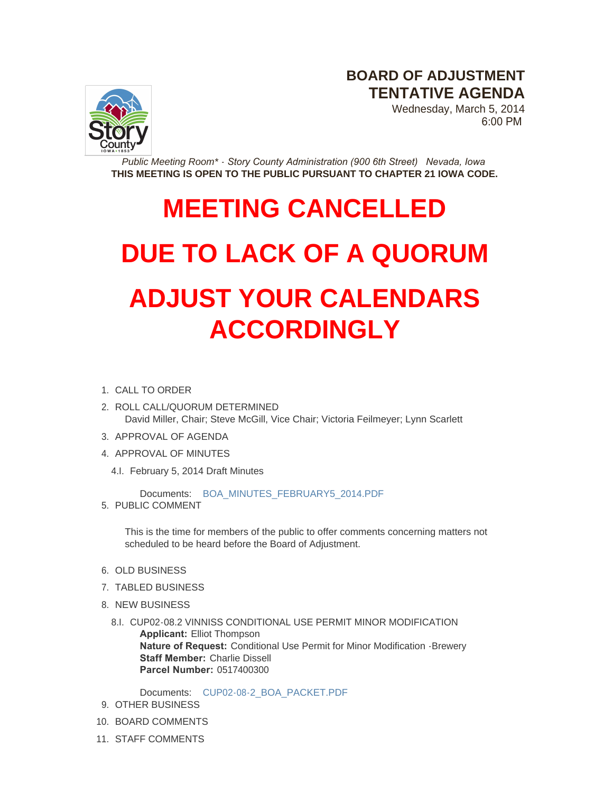**BOARD OF ADJUSTMENT TENTATIVE AGENDA**



Wednesday, March 5, 2014 6:00 PM

*Public Meeting Room\* - Story County Administration (900 6th Street) Nevada, Iowa* **THIS MEETING IS OPEN TO THE PUBLIC PURSUANT TO CHAPTER 21 IOWA CODE.**

## **MEETING CANCELLED**

## **DUE TO LACK OF A QUORUM ADJUST YOUR CALENDARS ACCORDINGLY**

- 1. CALL TO ORDER
- 2. ROLL CALL/QUORUM DETERMINED David Miller, Chair; Steve McGill, Vice Chair; Victoria Feilmeyer; Lynn Scarlett
- 3. APPROVAL OF AGENDA
- 4. APPROVAL OF MINUTES
	- 4.I. February 5, 2014 Draft Minutes

Documents: [BOA\\_MINUTES\\_FEBRUARY5\\_2014.PDF](http://www.storycountyiowa.gov/AgendaCenter/ViewFile/Item/2926?fileID=2183)

5. PUBLIC COMMENT

This is the time for members of the public to offer comments concerning matters not scheduled to be heard before the Board of Adjustment.

- 6. OLD BUSINESS
- 7. TABLED BUSINESS
- 8. NEW BUSINESS
	- 8.I. CUP02-08.2 VINNISS CONDITIONAL USE PERMIT MINOR MODIFICATION **Applicant:** Elliot Thompson **Nature of Request:** Conditional Use Permit for Minor Modification -Brewery **Staff Member:** Charlie Dissell **Parcel Number:** 0517400300

Documents: [CUP02-08-2\\_BOA\\_PACKET.PDF](http://www.storycountyiowa.gov/AgendaCenter/ViewFile/Item/2925?fileID=2182)

- 9. OTHER BUSINESS
- 10. BOARD COMMENTS
- 11. STAFF COMMENTS